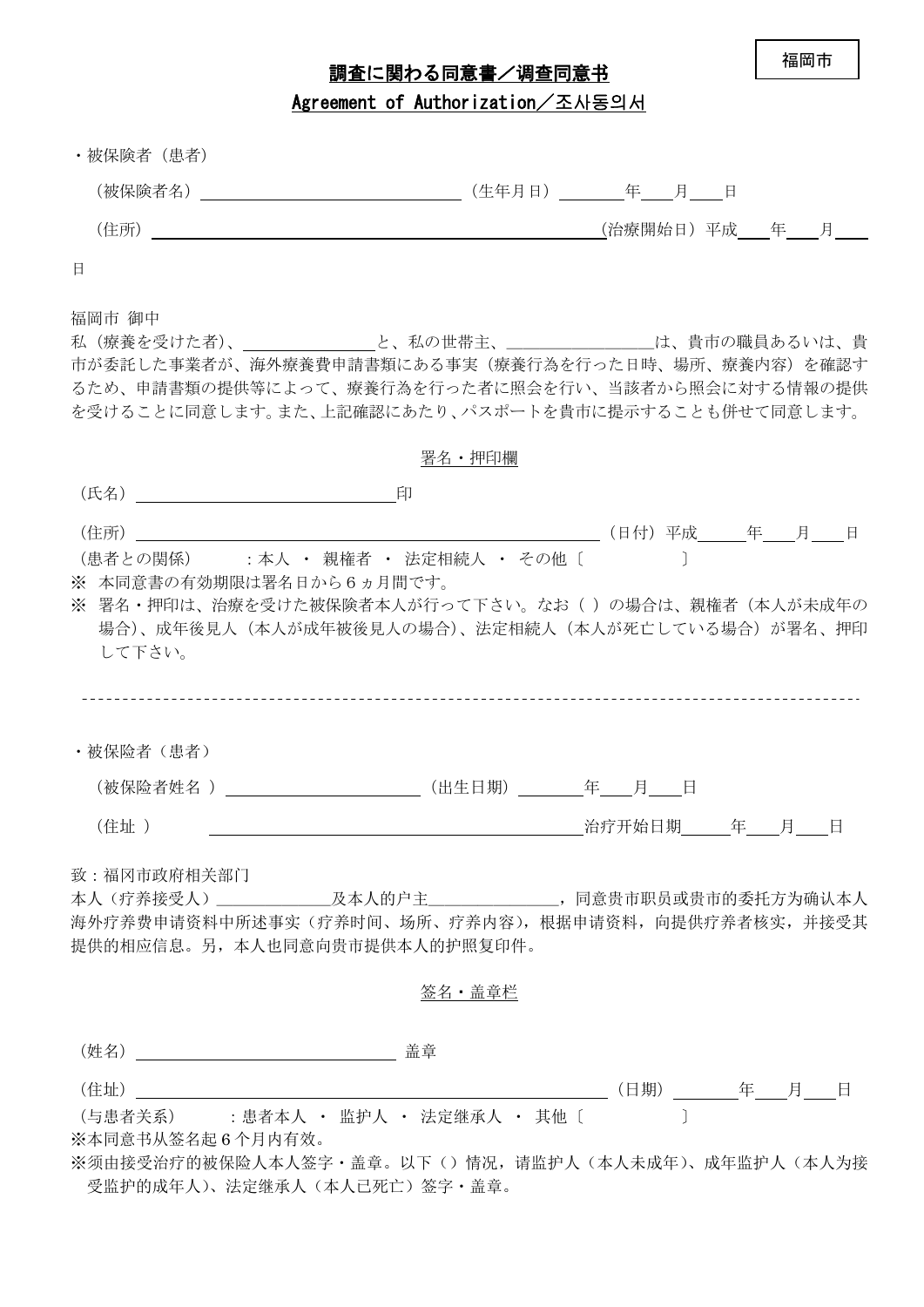福岡市

## 調査に関わる同意書/调查同意书

Agreement of Authorization / 조사동의서

| ・被保険者(患者)                                                                                                  |                                                                                                           |                                                                                                                                                              |
|------------------------------------------------------------------------------------------------------------|-----------------------------------------------------------------------------------------------------------|--------------------------------------------------------------------------------------------------------------------------------------------------------------|
|                                                                                                            |                                                                                                           |                                                                                                                                                              |
|                                                                                                            |                                                                                                           | <u>(</u> 治療開始日)平成____ 年  月                                                                                                                                   |
| Ħ.                                                                                                         |                                                                                                           |                                                                                                                                                              |
| 福岡市 御中                                                                                                     |                                                                                                           | 市が委託した事業者が、海外療養費申請書類にある事実(療養行為を行った日時、場所、療養内容)を確認す<br>るため、申請書類の提供等によって、療養行為を行った者に照会を行い、当該者から照会に対する情報の提供<br>を受けることに同意します。また、上記確認にあたり、パスポートを貴市に提示することも併せて同意します。 |
|                                                                                                            | 署名・押印欄                                                                                                    |                                                                                                                                                              |
|                                                                                                            |                                                                                                           |                                                                                                                                                              |
| (住所)<br>(患者との関係) : 本人 · 親権者 · 法定相続人 · その他 [    <br>※ 本同意書の有効期限は署名日から6ヵ月間です。<br>して下さい。<br>・被保险者(患者)<br>(住址) | (被保险者姓名 )___________________________(出生日期)_________年____月____日<br><u> 1980 - Johann Barbara, martin a</u> | ※ 署名・押印は、治療を受けた被保険者本人が行って下さい。なお( )の場合は、親権者(本人が未成年の<br>場合)、成年後見人(本人が成年被後見人の場合)、法定相続人(本人が死亡している場合)が署名、押印<br>治疗开始日期 年 月 日                                       |
| 致:福冈市政府相关部门<br>提供的相应信息。另,本人也同意向贵市提供本人的护照复印件。                                                               | 签名・盖章栏                                                                                                    | 海外疗养费申请资料中所述事实(疗养时间、场所、疗养内容),根据申请资料,向提供疗养者核实,并接受其                                                                                                            |
|                                                                                                            |                                                                                                           |                                                                                                                                                              |
| (住址)                                                                                                       |                                                                                                           |                                                                                                                                                              |
| (与患者关系) : 患者本人 · 监护人 · 法定继承人 · 其他 〔<br>※本同意书从签名起 6 个月内有效。<br>受监护的成年人)、法定继承人 (本人已死亡) 签字・盖章。                 |                                                                                                           | ※须由接受治疗的被保险人本人签字・盖章。以下()情况,请监护人(本人未成年)、成年监护人(本人为接                                                                                                            |